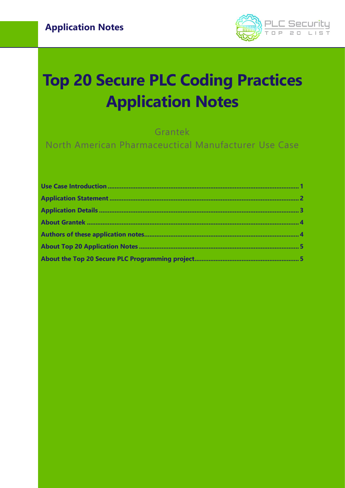

# **Top 20 Secure PLC Coding Practices Application Notes**

Grantek

North American Pharmaceuctical Manufacturer Use Case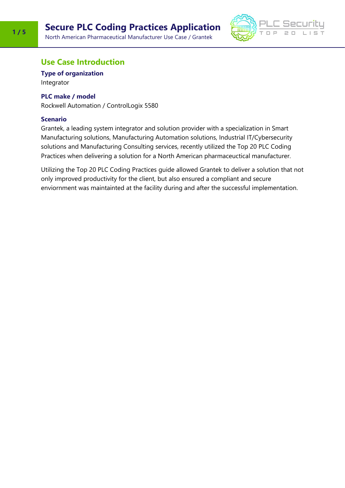

### <span id="page-1-0"></span>**Use Case Introduction**

**Type of organization**

Integrator

#### **PLC make / model**

Rockwell Automation / ControlLogix 5580

#### **Scenario**

Grantek, a leading system integrator and solution provider with a specialization in Smart Manufacturing solutions, Manufacturing Automation solutions, Industrial IT/Cybersecurity solutions and Manufacturing Consulting services, recently utilized the Top 20 PLC Coding Practices when delivering a solution for a North American pharmaceuctical manufacturer.

Utilizing the Top 20 PLC Coding Practices guide allowed Grantek to deliver a solution that not only improved productivity for the client, but also ensured a compliant and secure enviornment was maintainted at the facility during and after the successful implementation.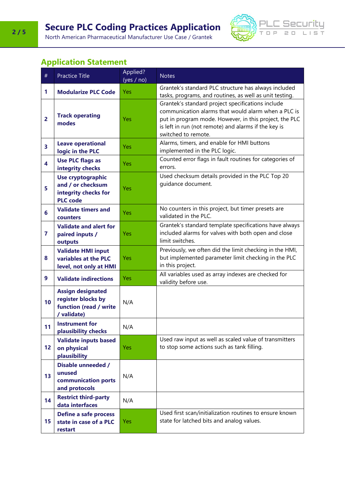North American Pharmaceutical Manufacturer Use Case / Grantek



## <span id="page-2-0"></span>**Application Statement**

| $\#$                    | <b>Practice Title</b>                                                                    | Applied?<br>(yes / no) | <b>Notes</b>                                                                                                                                                                                                                                      |
|-------------------------|------------------------------------------------------------------------------------------|------------------------|---------------------------------------------------------------------------------------------------------------------------------------------------------------------------------------------------------------------------------------------------|
| 1                       | <b>Modularize PLC Code</b>                                                               | Yes                    | Grantek's standard PLC structure has always included<br>tasks, programs, and routines, as well as unit testing.                                                                                                                                   |
| $\overline{2}$          | <b>Track operating</b><br>modes                                                          | Yes                    | Grantek's standard project specifications include<br>communication alarms that would alarm when a PLC is<br>put in program mode. However, in this project, the PLC<br>is left in run (not remote) and alarms if the key is<br>switched to remote. |
| 3                       | <b>Leave operational</b><br>logic in the PLC                                             | Yes                    | Alarms, timers, and enable for HMI buttons<br>implemented in the PLC logic.                                                                                                                                                                       |
| 4                       | <b>Use PLC flags as</b><br>integrity checks                                              | Yes                    | Counted error flags in fault routines for categories of<br>errors.                                                                                                                                                                                |
| 5                       | <b>Use cryptographic</b><br>and / or checksum<br>integrity checks for<br><b>PLC</b> code | Yes                    | Used checksum details provided in the PLC Top 20<br>guidance document.                                                                                                                                                                            |
| $6\phantom{1}$          | <b>Validate timers and</b><br>counters                                                   | Yes                    | No counters in this project, but timer presets are<br>validated in the PLC.                                                                                                                                                                       |
| $\overline{\mathbf{z}}$ | <b>Validate and alert for</b><br>paired inputs /<br>outputs                              | Yes                    | Grantek's standard template specifications have always<br>included alarms for valves with both open and close<br>limit switches.                                                                                                                  |
| 8                       | <b>Validate HMI input</b><br>variables at the PLC<br>level, not only at HMI              | Yes                    | Previously, we often did the limit checking in the HMI,<br>but implemented parameter limit checking in the PLC<br>in this project.                                                                                                                |
| 9                       | <b>Validate indirections</b>                                                             | Yes                    | All variables used as array indexes are checked for<br>validity before use.                                                                                                                                                                       |
| 10                      | <b>Assign designated</b><br>register blocks by<br>function (read / write<br>/ validate)  | N/A                    |                                                                                                                                                                                                                                                   |
| 11                      | <b>Instrument for</b><br>plausibility checks                                             | N/A                    |                                                                                                                                                                                                                                                   |
| 12                      | <b>Validate inputs based</b><br>on physical<br>plausibility                              | Yes                    | Used raw input as well as scaled value of transmitters<br>to stop some actions such as tank filling.                                                                                                                                              |
| 13                      | <b>Disable unneeded /</b><br>unused<br>communication ports<br>and protocols              | N/A                    |                                                                                                                                                                                                                                                   |
| 14                      | <b>Restrict third-party</b><br>data interfaces                                           | N/A                    |                                                                                                                                                                                                                                                   |
| 15                      | <b>Define a safe process</b><br>state in case of a PLC<br>restart                        | Yes                    | Used first scan/initialization routines to ensure known<br>state for latched bits and analog values.                                                                                                                                              |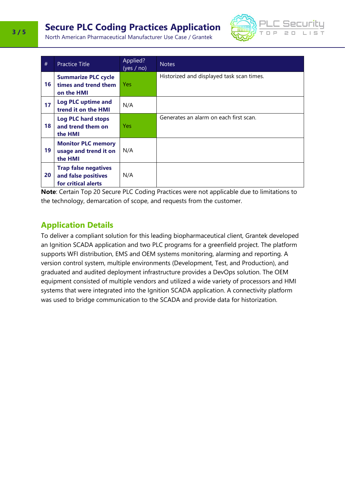# **Secure PLC Coding Practices Application**



North American Pharmaceutical Manufacturer Use Case / Grantek

| #  | <b>Practice Title</b>                                                     | Applied?<br>(yes / no) | <b>Notes</b>                              |
|----|---------------------------------------------------------------------------|------------------------|-------------------------------------------|
| 16 | <b>Summarize PLC cycle</b><br>times and trend them<br>on the HMI          | <b>Yes</b>             | Historized and displayed task scan times. |
| 17 | <b>Log PLC uptime and</b><br>trend it on the HMI                          | N/A                    |                                           |
| 18 | <b>Log PLC hard stops</b><br>and trend them on<br>the HMI                 | Yes                    | Generates an alarm on each first scan.    |
| 19 | <b>Monitor PLC memory</b><br>usage and trend it on<br>the HMI             | N/A                    |                                           |
| 20 | <b>Trap false negatives</b><br>and false positives<br>for critical alerts | N/A                    |                                           |

**Note**: Certain Top 20 Secure PLC Coding Practices were not applicable due to limitations to the technology, demarcation of scope, and requests from the customer.

## <span id="page-3-0"></span>**Application Details**

To deliver a compliant solution for this leading biopharmaceutical client, Grantek developed an Ignition SCADA application and two PLC programs for a greenfield project. The platform supports WFI distribution, EMS and OEM systems monitoring, alarming and reporting. A version control system, multiple environments (Development, Test, and Production), and graduated and audited deployment infrastructure provides a DevOps solution. The OEM equipment consisted of multiple vendors and utilized a wide variety of processors and HMI systems that were integrated into the Ignition SCADA application. A connectivity platform was used to bridge communication to the SCADA and provide data for historization.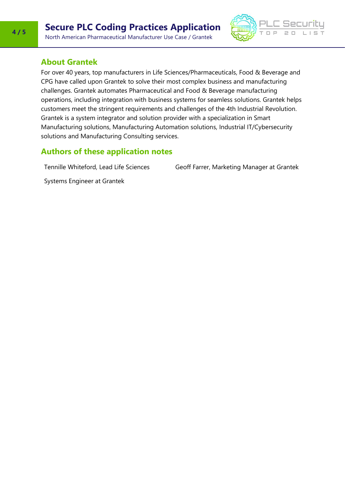

#### <span id="page-4-0"></span>**About Grantek**

<span id="page-4-1"></span>For over 40 years, top manufacturers in Life Sciences/Pharmaceuticals, Food & Beverage and CPG have called upon Grantek to solve their most complex business and manufacturing challenges. Grantek automates Pharmaceutical and Food & Beverage manufacturing operations, including integration with business systems for seamless solutions. Grantek helps customers meet the stringent requirements and challenges of the 4th Industrial Revolution. Grantek is a system integrator and solution provider with a specialization in Smart Manufacturing solutions, Manufacturing Automation solutions, Industrial IT/Cybersecurity solutions and Manufacturing Consulting services.

#### **Authors of these application notes**

Tennille Whiteford, Lead Life Sciences

Geoff Farrer, Marketing Manager at Grantek

Systems Engineer at Grantek